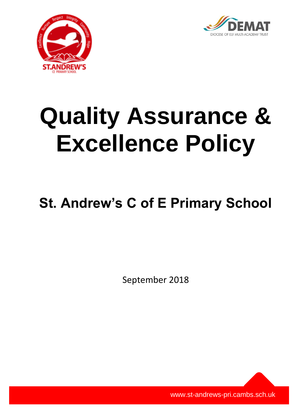



# **Quality Assurance & Excellence Policy**

# **St. Andrew's C of E Primary School**

September 2018

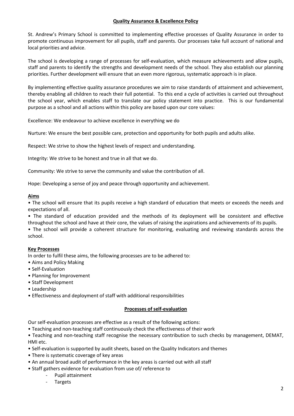#### **Quality Assurance & Excellence Policy**

St. Andrew's Primary School is committed to implementing effective processes of Quality Assurance in order to promote continuous improvement for all pupils, staff and parents. Our processes take full account of national and local priorities and advice.

The school is developing a range of processes for self-evaluation, which measure achievements and allow pupils, staff and parents to identify the strengths and development needs of the school. They also establish our planning priorities. Further development will ensure that an even more rigorous, systematic approach is in place.

By implementing effective quality assurance procedures we aim to raise standards of attainment and achievement, thereby enabling all children to reach their full potential. To this end a cycle of activities is carried out throughout the school year, which enables staff to translate our policy statement into practice. This is our fundamental purpose as a school and all actions within this policy are based upon our core values:

Excellence: We endeavour to achieve excellence in everything we do

Nurture: We ensure the best possible care, protection and opportunity for both pupils and adults alike.

Respect: We strive to show the highest levels of respect and understanding.

Integrity: We strive to be honest and true in all that we do.

Community: We strive to serve the community and value the contribution of all.

Hope: Developing a sense of joy and peace through opportunity and achievement.

#### **Aims**

• The school will ensure that its pupils receive a high standard of education that meets or exceeds the needs and expectations of all.

• The standard of education provided and the methods of its deployment will be consistent and effective throughout the school and have at their core, the values of raising the aspirations and achievements of its pupils.

• The school will provide a coherent structure for monitoring, evaluating and reviewing standards across the school.

#### **Key Processes**

In order to fulfil these aims, the following processes are to be adhered to:

- Aims and Policy Making
- Self-Evaluation
- Planning for Improvement
- Staff Development
- Leadership
- Effectiveness and deployment of staff with additional responsibilities

#### **Processes of self-evaluation**

Our self-evaluation processes are effective as a result of the following actions:

- Teaching and non-teaching staff continuously check the effectiveness of their work
- Teaching and non-teaching staff recognise the necessary contribution to such checks by management, DEMAT, HMI etc.
- Self-evaluation is supported by audit sheets, based on the Quality Indicators and themes
- There is systematic coverage of key areas
- An annual broad audit of performance in the key areas is carried out with all staff
- Staff gathers evidence for evaluation from use of/ reference to
	- Pupil attainment
	- **Targets**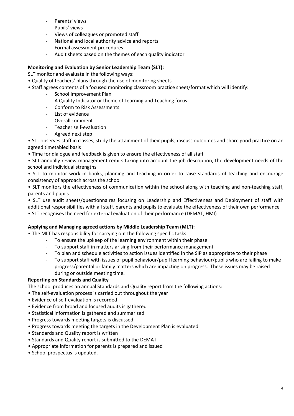- Parents' views
- Pupils' views
- Views of colleagues or promoted staff
- National and local authority advice and reports
- Formal assessment procedures
- Audit sheets based on the themes of each quality indicator

#### **Monitoring and Evaluation by Senior Leadership Team (SLT):**

SLT monitor and evaluate in the following ways:

- Quality of teachers' plans through the use of monitoring sheets
- Staff agrees contents of a focused monitoring classroom practice sheet/format which will identify:
	- School Improvement Plan
	- A Quality Indicator or theme of Learning and Teaching focus
	- Conform to Risk Assessments
	- List of evidence
	- Overall comment
	- Teacher self-evaluation
	- Agreed next step

• SLT observes staff in classes, study the attainment of their pupils, discuss outcomes and share good practice on an agreed timetabled basis

• Time for dialogue and feedback is given to ensure the effectiveness of all staff

• SLT annually review management remits taking into account the job description, the development needs of the school and individual strengths

• SLT to monitor work in books, planning and teaching in order to raise standards of teaching and encourage consistency of approach across the school

• SLT monitors the effectiveness of communication within the school along with teaching and non-teaching staff, parents and pupils

• SLT use audit sheets/questionnaires focusing on Leadership and Effectiveness and Deployment of staff with additional responsibilities with all staff, parents and pupils to evaluate the effectiveness of their own performance • SLT recognises the need for external evaluation of their performance (DEMAT, HMI)

#### **Applying and Managing agreed actions by Middle Leadership Team (MLT):**

• The MLT has responsibility for carrying out the following specific tasks:

- To ensure the upkeep of the learning environment within their phase
- To support staff in matters arising from their performance management
- To plan and schedule activities to action issues identified in the SIP as appropriate to their phase
- To support staff with issues of pupil behaviour/pupil learning behaviour/pupils who are failing to make progress/parental or family matters which are impacting on progress. These issues may be raised during or outside meeting time.

#### **Reporting on Standards and Quality**

The school produces an annual Standards and Quality report from the following actions:

- The self-evaluation process is carried out throughout the year
- Evidence of self-evaluation is recorded
- Evidence from broad and focused audits is gathered
- Statistical information is gathered and summarised
- Progress towards meeting targets is discussed
- Progress towards meeting the targets in the Development Plan is evaluated
- Standards and Quality report is written
- Standards and Quality report is submitted to the DEMAT
- Appropriate information for parents is prepared and issued
- School prospectus is updated.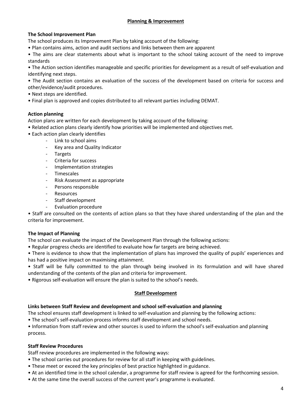#### **The School Improvement Plan**

The school produces its Improvement Plan by taking account of the following:

• Plan contains aims, action and audit sections and links between them are apparent

• The aims are clear statements about what is important to the school taking account of the need to improve standards

• The Action section identifies manageable and specific priorities for development as a result of self-evaluation and identifying next steps.

• The Audit section contains an evaluation of the success of the development based on criteria for success and other/evidence/audit procedures.

- Next steps are identified.
- Final plan is approved and copies distributed to all relevant parties including DEMAT.

#### **Action planning**

Action plans are written for each development by taking account of the following:

- Related action plans clearly identify how priorities will be implemented and objectives met.
- Each action plan clearly identifies
	- Link to school aims
	- Key area and Quality Indicator
	- **Targets**
	- Criteria for success
	- Implementation strategies
	- Timescales
	- Risk Assessment as appropriate
	- Persons responsible
	- **Resources**
	- Staff development
	- Evaluation procedure

• Staff are consulted on the contents of action plans so that they have shared understanding of the plan and the criteria for improvement.

#### **The Impact of Planning**

The school can evaluate the impact of the Development Plan through the following actions:

• Regular progress checks are identified to evaluate how far targets are being achieved.

• There is evidence to show that the implementation of plans has improved the quality of pupils' experiences and has had a positive impact on maximising attainment.

• Staff will be fully committed to the plan through being involved in its formulation and will have shared understanding of the contents of the plan and criteria for improvement.

• Rigorous self-evaluation will ensure the plan is suited to the school's needs.

#### **Staff Development**

#### **Links between Staff Review and development and school self-evaluation and planning**

The school ensures staff development is linked to self-evaluation and planning by the following actions:

• The school's self-evaluation process informs staff development and school needs.

• Information from staff review and other sources is used to inform the school's self-evaluation and planning process.

#### **Staff Review Procedures**

Staff review procedures are implemented in the following ways:

- The school carries out procedures for review for all staff in keeping with guidelines.
- These meet or exceed the key principles of best practice highlighted in guidance.
- At an identified time in the school calendar, a programme for staff review is agreed for the forthcoming session.
- At the same time the overall success of the current year's programme is evaluated.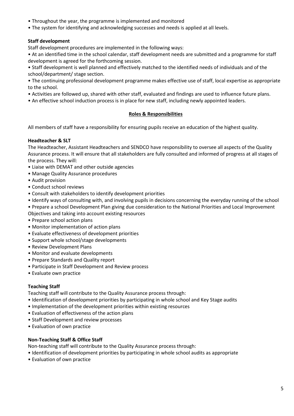- Throughout the year, the programme is implemented and monitored
- The system for identifying and acknowledging successes and needs is applied at all levels.

#### **Staff development**

Staff development procedures are implemented in the following ways:

• At an identified time in the school calendar, staff development needs are submitted and a programme for staff development is agreed for the forthcoming session.

• Staff development is well planned and effectively matched to the identified needs of individuals and of the school/department/ stage section.

• The continuing professional development programme makes effective use of staff, local expertise as appropriate to the school.

- Activities are followed up, shared with other staff, evaluated and findings are used to influence future plans.
- An effective school induction process is in place for new staff, including newly appointed leaders.

#### **Roles & Responsibilities**

All members of staff have a responsibility for ensuring pupils receive an education of the highest quality.

#### **Headteacher & SLT**

The Headteacher, Assistant Headteachers and SENDCO have responsibility to oversee all aspects of the Quality Assurance process. It will ensure that all stakeholders are fully consulted and informed of progress at all stages of the process. They will:

- Liaise with DEMAT and other outside agencies
- Manage Quality Assurance procedures
- Audit provision
- Conduct school reviews
- Consult with stakeholders to identify development priorities
- Identify ways of consulting with, and involving pupils in decisions concerning the everyday running of the school

• Prepare a school Development Plan giving due consideration to the National Priorities and Local Improvement Objectives and taking into account existing resources

- Prepare school action plans
- Monitor implementation of action plans
- Evaluate effectiveness of development priorities
- Support whole school/stage developments
- Review Development Plans
- Monitor and evaluate developments
- Prepare Standards and Quality report
- Participate in Staff Development and Review process
- Evaluate own practice

#### **Teaching Staff**

Teaching staff will contribute to the Quality Assurance process through:

- Identification of development priorities by participating in whole school and Key Stage audits
- Implementation of the development priorities within existing resources
- Evaluation of effectiveness of the action plans
- Staff Development and review processes
- Evaluation of own practice

#### **Non-Teaching Staff & Office Staff**

Non-teaching staff will contribute to the Quality Assurance process through:

• Identification of development priorities by participating in whole school audits as appropriate

• Evaluation of own practice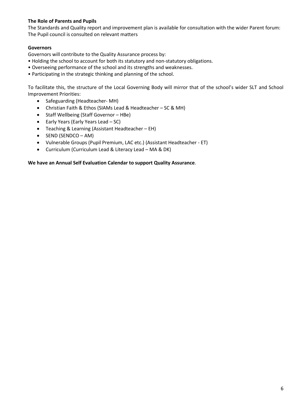#### **The Role of Parents and Pupils**

The Standards and Quality report and improvement plan is available for consultation with the wider Parent forum: The Pupil council is consulted on relevant matters

#### **Governors**

Governors will contribute to the Quality Assurance process by:

- Holding the school to account for both its statutory and non-statutory obligations.
- Overseeing performance of the school and its strengths and weaknesses.
- Participating in the strategic thinking and planning of the school.

To facilitate this, the structure of the Local Governing Body will mirror that of the school's wider SLT and School Improvement Priorities:

- Safeguarding (Headteacher-MH)
- Christian Faith & Ethos (SIAMs Lead & Headteacher SC & MH)
- Staff Wellbeing (Staff Governor HBe)
- $\bullet$  Early Years (Early Years Lead SC)
- Teaching & Learning (Assistant Headteacher EH)
- $\bullet$  SEND (SENDCO AM)
- Vulnerable Groups (Pupil Premium, LAC etc.) (Assistant Headteacher ET)
- Curriculum (Curriculum Lead & Literacy Lead MA & DK)

#### **We have an Annual Self Evaluation Calendar to support Quality Assurance**.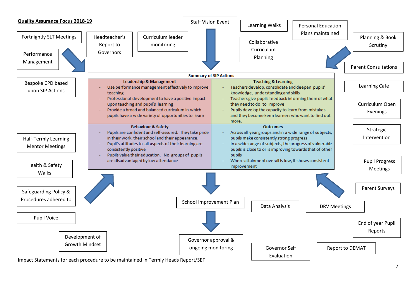

Impact Statements for each procedure to be maintained in Termly Heads Report/SEF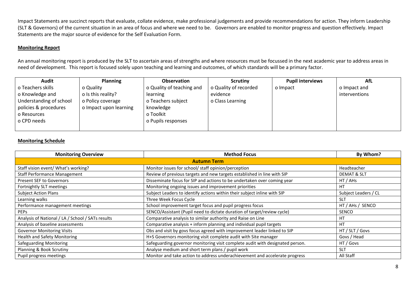Impact Statements are succinct reports that evaluate, collate evidence, make professional judgements and provide recommendations for action. They inform Leadership (SLT & Governors) of the current situation in an area of focus and where we need to be. Governors are enabled to monitor progress and question effectively. Impact Statements are the major source of evidence for the Self Evaluation Form.

#### **Monitoring Report**

An annual monitoring report is produced by the SLT to ascertain areas of strengths and where resources must be focussed in the next academic year to address areas in need of development. This report is focused solely upon teaching and learning and outcomes, of which standards will be a primary factor.

| Audit                   | <b>Planning</b>        | <b>Observation</b>        | <b>Scrutiny</b>       | <b>Pupil interviews</b> | AfL           |
|-------------------------|------------------------|---------------------------|-----------------------|-------------------------|---------------|
| o Teachers skills       | o Quality              | o Quality of teaching and | o Quality of recorded | o Impact                | o Impact and  |
| o Knowledge and         | o Is this reality?     | learning                  | evidence              |                         | interventions |
| Understanding of school | o Policy coverage      | o Teachers subject        | o Class Learning      |                         |               |
| policies & procedures   | o Impact upon learning | knowledge                 |                       |                         |               |
| o Resources             |                        | o Toolkit                 |                       |                         |               |
| o CPD needs             |                        | o Pupils responses        |                       |                         |               |
|                         |                        |                           |                       |                         |               |

#### **Monitoring Schedule**

| <b>Monitoring Overview</b>                        | <b>Method Focus</b>                                                           | By Whom?               |
|---------------------------------------------------|-------------------------------------------------------------------------------|------------------------|
|                                                   | <b>Autumn Term</b>                                                            |                        |
| Staff vision event/ What's working?               | Monitor issues for school/ staff opinion/perception                           | Headteacher            |
| <b>Staff Performance Management</b>               | Review of previous targets and new targets established in line with SIP       | <b>DEMAT &amp; SLT</b> |
| <b>Present SEF to Governors</b>                   | Disseminate focus for SIP and actions to be undertaken over coming year       | HT / AHs               |
| Fortnightly SLT meetings                          | Monitoring ongoing issues and improvement priorities                          | <b>HT</b>              |
| <b>Subject Action Plans</b>                       | Subject Leaders to identify actions within their subject inline with SIP      | Subject Leaders / CL   |
| Learning walks                                    | Three Week Focus Cycle                                                        | <b>SLT</b>             |
| Performance management meetings                   | School improvement target focus and pupil progress focus                      | HT / AHs / SENCO       |
| <b>PEPS</b>                                       | SENCO/Assistant (Pupil need to dictate duration of target/review cycle)       | <b>SENCO</b>           |
| Analysis of National / LA / School / SATs results | Comparative analysis to similar authority and Raise on Line                   | <b>HT</b>              |
| Analysis of baseline assessments                  | Comparative analysis + inform planning and individual pupil targets           | <b>HT</b>              |
| <b>Governor Monitoring Visits</b>                 | Obs and visit by govs focus agreed with improvement leader linked to SIP      | HT / SLT / Govs        |
| <b>Health and Safety Monitoring</b>               | H+S Governors monitoring visit complete audit with Site manager               | Govs / Head            |
| <b>Safeguarding Monitoring</b>                    | Safeguarding governor monitoring visit complete audit with designated person. | HT / Govs              |
| Planning & Book Scrutiny                          | Analyse medium and short term plans / pupil work                              | <b>SLT</b>             |
| Pupil progress meetings                           | Monitor and take action to address underachievement and accelerate progress   | All Staff              |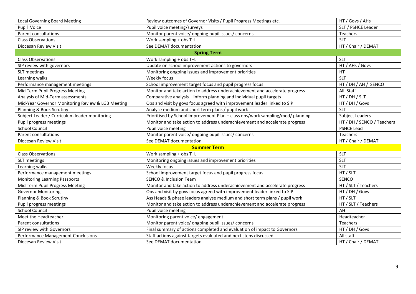| <b>Local Governing Board Meeting</b>              | Review outcomes of Governor Visits / Pupil Progress Meetings etc.              | HT / Govs / AHs            |  |  |  |  |
|---------------------------------------------------|--------------------------------------------------------------------------------|----------------------------|--|--|--|--|
| Pupil Voice                                       | Pupil voice meeting/surveys                                                    | SLT / PSHCE Leader         |  |  |  |  |
| Parent consultations                              | Monitor parent voice/ ongoing pupil issues/ concerns                           | Teachers                   |  |  |  |  |
| <b>Class Observations</b>                         | Work sampling + obs T+L                                                        | <b>SLT</b>                 |  |  |  |  |
| Diocesan Review Visit                             | See DEMAT documentation                                                        | HT / Chair / DEMAT         |  |  |  |  |
| <b>Spring Term</b>                                |                                                                                |                            |  |  |  |  |
| <b>Class Observations</b>                         | Work sampling + obs T+L                                                        | <b>SLT</b>                 |  |  |  |  |
| SIP review with governors                         | Update on school improvement actions to governors                              | HT / AHs / Govs            |  |  |  |  |
| SLT meetings                                      | Monitoring ongoing issues and improvement priorities                           | <b>HT</b>                  |  |  |  |  |
| Learning walks                                    | Weekly focus                                                                   | <b>SLT</b>                 |  |  |  |  |
| Performance management meetings                   | School improvement target focus and pupil progress focus                       | HT / DH / AH / SENCO       |  |  |  |  |
| Mid Term Pupil Progress Meeting                   | Monitor and take action to address underachievement and accelerate progress    | All Staff                  |  |  |  |  |
| Analysis of Mid-Term assessments                  | Comparative analysis + inform planning and individual pupil targets            | HT / DH / SLT              |  |  |  |  |
| Mid-Year Governor Monitoring Review & LGB Meeting | Obs and visit by govs focus agreed with improvement leader linked to SIP       | HT / DH / Govs             |  |  |  |  |
| Planning & Book Scrutiny                          | Analyse medium and short term plans / pupil work                               | SIT                        |  |  |  |  |
| Subject Leader / Curriculum leader monitoring     | Prioritised by School Improvement Plan - class obs/work sampling/med/ planning | Subject Leaders            |  |  |  |  |
| Pupil progress meetings                           | Monitor and take action to address underachievement and accelerate progress    | HT / DH / SENCO / Teachers |  |  |  |  |
| <b>School Council</b>                             | Pupil voice meeting                                                            | <b>PSHCE Lead</b>          |  |  |  |  |
| Parent consultations                              | Monitor parent voice/ ongoing pupil issues/ concerns                           | Teachers                   |  |  |  |  |
| Diocesan Review Visit                             | See DEMAT documentation                                                        | HT / Chair / DEMAT         |  |  |  |  |
| <b>Summer Term</b>                                |                                                                                |                            |  |  |  |  |
| <b>Class Observations</b>                         | Work sampling + obs T+L                                                        | <b>SLT</b>                 |  |  |  |  |
| SLT meetings                                      | Monitoring ongoing issues and improvement priorities                           | <b>SLT</b>                 |  |  |  |  |
| Learning walks                                    | Weekly focus                                                                   | <b>SLT</b>                 |  |  |  |  |
| Performance management meetings                   | School improvement target focus and pupil progress focus                       | HT / SLT                   |  |  |  |  |
| <b>Monitoring Learning Passports</b>              | <b>SENCO &amp; Inclusion Team</b>                                              | SENCO                      |  |  |  |  |
| Mid Term Pupil Progress Meeting                   | Monitor and take action to address underachievement and accelerate progress    | HT / SLT / Teachers        |  |  |  |  |
| <b>Governor Monitoring</b>                        | Obs and visit by govs focus agreed with improvement leader linked to SIP       | HT / DH / Govs             |  |  |  |  |
| Planning & Book Scrutiny                          | Ass Heads & phase leaders analyse medium and short term plans / pupil work     | HT / SLT                   |  |  |  |  |
| Pupil progress meetings                           | Monitor and take action to address underachievement and accelerate progress    | HT / SLT / Teachers        |  |  |  |  |
| <b>School Council</b>                             | Pupil voice meeting                                                            | AH                         |  |  |  |  |
| Meet the Headteacher                              | Monitoring parent voice/ engagement                                            | Headteacher                |  |  |  |  |
| Parent consultations                              | Monitor parent voice/ ongoing pupil issues/ concerns                           | <b>Teachers</b>            |  |  |  |  |
| SIP review with Governors                         | Final summary of actions completed and evaluation of impact to Governors       | HT / DH / Govs             |  |  |  |  |
| <b>Performance Management Conclusions</b>         | Staff actions against targets evaluated and next steps discussed               | All staff                  |  |  |  |  |
| Diocesan Review Visit                             | See DEMAT documentation                                                        | HT / Chair / DEMAT         |  |  |  |  |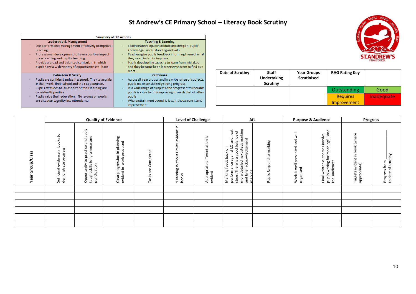### **St Andrew's CE Primary School – Literacy Book Scrutiny**

|                                                                                                                                                                                                                                                                                                                                  | <b>Summary of SIP Actions</b>                                                                                                                                                                                                                                                                                                        |
|----------------------------------------------------------------------------------------------------------------------------------------------------------------------------------------------------------------------------------------------------------------------------------------------------------------------------------|--------------------------------------------------------------------------------------------------------------------------------------------------------------------------------------------------------------------------------------------------------------------------------------------------------------------------------------|
| <b>Leadership &amp; Management</b><br>Use performance management effectively to improve<br>٠<br>teaching<br>Professional development to have a positive impact<br>÷.<br>upon teaching and pupil's learning<br>Provide a broad and balanced curriculum in which<br>pupils have a wide variety of opportunities to learn           | <b>Teaching &amp; Learning</b><br>Teachers develop, consolidate and deepen pupils'<br>knowledge, understanding and skills<br>Teachers give pupils feedback informing them of what<br>they need to do to improve<br>Pupils develop the capacity to learn from mistakes<br>and they become keen learners who want to find out<br>more. |
| <b>Behaviour &amp; Safety</b><br>Pupils are confident and self-assured. They take pride<br>in their work, their school and their appearance.<br>Pupil's attitudes to all aspects of their learning are<br>٠<br>consistently positive<br>Pupils value their education. No groups of pupils<br>are disadvantaged by low attendance | <b>Outcomes</b><br>Across all year groups and in a wide range of subjects,<br>pupils make consistently strong progress<br>In a wide range of subjects, the progress of vulnerable<br>÷.<br>pupils is close to or is improving towards that of other<br>pupils<br>Where attainment overall is low, it shows consistent<br>improvement |



|                                      |                                                               |                                                                                                                                | <b>Quality of Evidence</b>                                                                                                                                                                                                                                                                                                                                                                                                                                                                                                                                                                                               |                                      |                                                                    | <b>Level of Challenge</b>                               | AfL                                                                                                                                                                                                                       |                                           |                                                              | <b>Purpose &amp; Audience</b>                                                                                |                                                   | <b>Progress</b>                       |
|--------------------------------------|---------------------------------------------------------------|--------------------------------------------------------------------------------------------------------------------------------|--------------------------------------------------------------------------------------------------------------------------------------------------------------------------------------------------------------------------------------------------------------------------------------------------------------------------------------------------------------------------------------------------------------------------------------------------------------------------------------------------------------------------------------------------------------------------------------------------------------------------|--------------------------------------|--------------------------------------------------------------------|---------------------------------------------------------|---------------------------------------------------------------------------------------------------------------------------------------------------------------------------------------------------------------------------|-------------------------------------------|--------------------------------------------------------------|--------------------------------------------------------------------------------------------------------------|---------------------------------------------------|---------------------------------------|
| up/Class<br>$\circ$<br>င်္<br>đ<br>≻ | books to<br>demonstrate progress<br>evidence in<br>Sufficient | and apply<br>and<br>grammar<br>practise<br>$\mathbf{\tilde{p}}$<br>$\mathtt{S}$<br>Opportunity<br>punctuation<br>taught skills | Clear progression in planning<br>work produced<br>$\mathrel{\mathop{\mathrel{\mathop{\scriptstyle\mathop{\scriptstyle\mathop{\scriptstyle\mathop{\scriptstyle\mathop{\scriptstyle\mathop{\scriptstyle\mathop{\scriptstyle\mathop{\scriptstyle\mathop{\scriptstyle\mathop{\scriptstyle\mathop{\scriptstyle\mathop{\scriptstyle\mathop{\scriptstyle\mathop{\scriptstyle\mathop{\scriptstyle\mathop{\scriptstyle\mathop{\scriptstyle\mathop{\scriptstyle\mathop{\scriptstyle\mathop{\scriptstyle\mathop{\scriptstyle\mathop{\scriptstyle\mathop{\scriptstyle\mathop{\scriptstyle\mathop{\cal E}}}}}}}}}}}\math>$<br>evident | Completed<br>$\omega$<br>ਨੋ<br>Tasks | Ξ.<br>evident<br>Limits'<br>Without<br>Learning<br>$\sim$<br>books | <u>ي</u> .<br>differentiation<br>Appropriate<br>evident | marking<br>next<br>Ⴆ<br>a good balance<br>and<br>έĭ<br>steps<br>acknowledgem<br>against LO<br>5<br>Marking feeds back<br>performance agains<br>next<br>There is a<br>detailed r<br>and brief<br>narkine<br>steps.<br>more | marking<br>$\mathtt{S}$<br>Pupils Respond | well<br>and<br>ell presented<br>≶ 핑<br>≌.<br>organis<br>Work | meaningful and<br>outcomes involve<br>ð<br>real audiences<br>writing <sup>-</sup><br>Final written<br>pupils | evident in book (where<br>appropriate)<br>Targets | Progress from<br>to date of scrutiny. |
|                                      |                                                               |                                                                                                                                |                                                                                                                                                                                                                                                                                                                                                                                                                                                                                                                                                                                                                          |                                      |                                                                    |                                                         |                                                                                                                                                                                                                           |                                           |                                                              |                                                                                                              |                                                   |                                       |
|                                      |                                                               |                                                                                                                                |                                                                                                                                                                                                                                                                                                                                                                                                                                                                                                                                                                                                                          |                                      |                                                                    |                                                         |                                                                                                                                                                                                                           |                                           |                                                              |                                                                                                              |                                                   |                                       |
|                                      |                                                               |                                                                                                                                |                                                                                                                                                                                                                                                                                                                                                                                                                                                                                                                                                                                                                          |                                      |                                                                    |                                                         |                                                                                                                                                                                                                           |                                           |                                                              |                                                                                                              |                                                   |                                       |
|                                      |                                                               |                                                                                                                                |                                                                                                                                                                                                                                                                                                                                                                                                                                                                                                                                                                                                                          |                                      |                                                                    |                                                         |                                                                                                                                                                                                                           |                                           |                                                              |                                                                                                              |                                                   |                                       |
|                                      |                                                               |                                                                                                                                |                                                                                                                                                                                                                                                                                                                                                                                                                                                                                                                                                                                                                          |                                      |                                                                    |                                                         |                                                                                                                                                                                                                           |                                           |                                                              |                                                                                                              |                                                   |                                       |
|                                      |                                                               |                                                                                                                                |                                                                                                                                                                                                                                                                                                                                                                                                                                                                                                                                                                                                                          |                                      |                                                                    |                                                         |                                                                                                                                                                                                                           |                                           |                                                              |                                                                                                              |                                                   |                                       |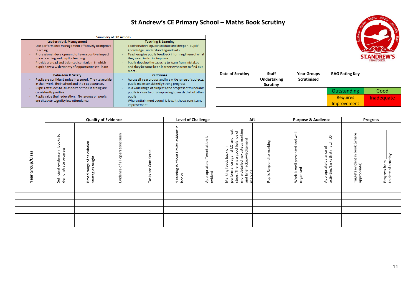## **St Andrew's CE Primary School – Maths Book Scrutiny**

|                                                                                                                                                                                                                                                                                                                                  | <b>Summary of SIP Actions</b>                                                                                                                                                                                                                                                                                                        |
|----------------------------------------------------------------------------------------------------------------------------------------------------------------------------------------------------------------------------------------------------------------------------------------------------------------------------------|--------------------------------------------------------------------------------------------------------------------------------------------------------------------------------------------------------------------------------------------------------------------------------------------------------------------------------------|
| <b>Leadership &amp; Management</b><br>Use performance management effectively to improve<br>٠<br>teaching<br>Professional development to have a positive impact<br>÷<br>upon teaching and pupil's learning<br>Provide a broad and balanced curriculum in which<br>pupils have a wide variety of opportunities to learn            | <b>Teaching &amp; Learning</b><br>Teachers develop, consolidate and deepen pupils'<br>knowledge, understanding and skills<br>Teachers give pupils feedback informing them of what<br>they need to do to improve<br>Pupils develop the capacity to learn from mistakes<br>and they become keen learners who want to find out<br>more. |
| <b>Behaviour &amp; Safety</b><br>Pupils are confident and self-assured. They take pride<br>in their work, their school and their appearance.<br>Pupil's attitudes to all aspects of their learning are<br>٠<br>consistently positive<br>Pupils value their education. No groups of pupils<br>are disadvantaged by low attendance | <b>Outcomes</b><br>Across all year groups and in a wide range of subjects,<br>pupils make consistently strong progress<br>In a wide range of subjects, the progress of vulnerable<br>pupils is close to or is improving towards that of other<br>pupils<br>Where attainment overall is low, it shows consistent<br>improvement       |

| Date of Scrutiny | <b>Staff</b><br><b>Undertaking</b><br><b>Scrutiny</b> | <b>Year Groups</b><br><b>Scrutinised</b> | <b>RAG Rating Key</b> |            |
|------------------|-------------------------------------------------------|------------------------------------------|-----------------------|------------|
|                  |                                                       |                                          | <b>Outstanding</b>    | Good       |
|                  |                                                       |                                          | <b>Requires</b>       | Inadequate |
|                  |                                                       |                                          | <b>Improvement</b>    |            |

|                                       |                                                               |                                                                 | <b>Quality of Evidence</b>                   |                           |                                                                       | <b>Level of Challenge</b>                               |                                                                                                                                                                                                                                                                       | AfL                                | <b>Purpose &amp; Audience</b>                                                                            |                                                                            |                                                      | <b>Progress</b>                       |
|---------------------------------------|---------------------------------------------------------------|-----------------------------------------------------------------|----------------------------------------------|---------------------------|-----------------------------------------------------------------------|---------------------------------------------------------|-----------------------------------------------------------------------------------------------------------------------------------------------------------------------------------------------------------------------------------------------------------------------|------------------------------------|----------------------------------------------------------------------------------------------------------|----------------------------------------------------------------------------|------------------------------------------------------|---------------------------------------|
| p/Class<br>⋾<br>o<br>Ğ<br>σ<br>ω<br>≻ | books to<br>demonstrate progress<br>evidence in<br>Sufficient | calculation<br>taught<br>$\rm 5$<br>Broad range<br>ategies<br>š | een<br>ō<br>ations<br>oper<br>ٔб<br>Evidence | Completed<br>are<br>Tasks | 으.<br>dent<br>Limits'<br>$\overline{5}$<br>Witho<br>Learning<br>books | <u>ي</u> .<br>differentiation<br>Appropriate<br>evident | marking<br>next<br>৳<br>ഄ<br>balance<br>and<br>acknowledgement<br>steps<br>$\circ$<br>δ<br>good<br>against<br>feeds back<br>next<br>G<br>ی.<br>detailed<br>ance<br>There<br>brief<br>Marking<br>performa<br>marking<br>۰.<br>$\mathbf \omega$<br>steps.<br>and<br>mor | marking<br>٩,<br>Respond<br>Pupils | well<br>P<br>ത<br>ented<br>හි<br>۵<br>$\overline{\overline{\mathbb{d}}}$<br>organised<br>₹<br>ی.<br>Work | O<br>┙<br>match<br>৳<br>balance<br>that<br>activities/tasks<br>Appropriate | book (where<br>evident in<br>appropriate)<br>Targets | Progress from<br>to date of scrutiny. |
|                                       |                                                               |                                                                 |                                              |                           |                                                                       |                                                         |                                                                                                                                                                                                                                                                       |                                    |                                                                                                          |                                                                            |                                                      |                                       |
|                                       |                                                               |                                                                 |                                              |                           |                                                                       |                                                         |                                                                                                                                                                                                                                                                       |                                    |                                                                                                          |                                                                            |                                                      |                                       |
|                                       |                                                               |                                                                 |                                              |                           |                                                                       |                                                         |                                                                                                                                                                                                                                                                       |                                    |                                                                                                          |                                                                            |                                                      |                                       |
|                                       |                                                               |                                                                 |                                              |                           |                                                                       |                                                         |                                                                                                                                                                                                                                                                       |                                    |                                                                                                          |                                                                            |                                                      |                                       |
|                                       |                                                               |                                                                 |                                              |                           |                                                                       |                                                         |                                                                                                                                                                                                                                                                       |                                    |                                                                                                          |                                                                            |                                                      |                                       |
|                                       |                                                               |                                                                 |                                              |                           |                                                                       |                                                         |                                                                                                                                                                                                                                                                       |                                    |                                                                                                          |                                                                            |                                                      |                                       |

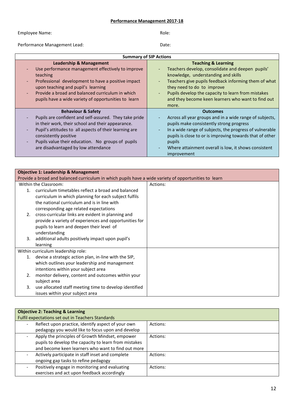#### **Performance Management 2017-18**

Employee Name: Note: Note: Note: Role: Role: Role: Role: Role: Role: Role: Role: Role: Role: Role: Role: Role: Role: Role: Role: Role: Role: Role: Role: Role: Role: Role: Role: Role: Role: Role: Role: Role: Role: Role: Rol

Performance Management Lead: Date: Date:

|                                                                                                                                                                                                                                                                                                                             | <b>Summary of SIP Actions</b>                                                                                                                                                                                                                                                                                                  |
|-----------------------------------------------------------------------------------------------------------------------------------------------------------------------------------------------------------------------------------------------------------------------------------------------------------------------------|--------------------------------------------------------------------------------------------------------------------------------------------------------------------------------------------------------------------------------------------------------------------------------------------------------------------------------|
| <b>Leadership &amp; Management</b>                                                                                                                                                                                                                                                                                          | <b>Teaching &amp; Learning</b>                                                                                                                                                                                                                                                                                                 |
| Use performance management effectively to improve<br>teaching<br>Professional development to have a positive impact<br>upon teaching and pupil's learning<br>Provide a broad and balanced curriculum in which<br>pupils have a wide variety of opportunities to learn                                                       | Teachers develop, consolidate and deepen pupils'<br>knowledge, understanding and skills<br>Teachers give pupils feedback informing them of what<br>they need to do to improve<br>Pupils develop the capacity to learn from mistakes<br>and they become keen learners who want to find out<br>more.                             |
| <b>Behaviour &amp; Safety</b><br>Pupils are confident and self-assured. They take pride<br>in their work, their school and their appearance.<br>Pupil's attitudes to all aspects of their learning are<br>consistently positive<br>Pupils value their education. No groups of pupils<br>are disadvantaged by low attendance | <b>Outcomes</b><br>Across all year groups and in a wide range of subjects,<br>pupils make consistently strong progress<br>In a wide range of subjects, the progress of vulnerable<br>pupils is close to or is improving towards that of other<br>pupils<br>Where attainment overall is low, it shows consistent<br>improvement |

|    | <b>Objective 1: Leadership &amp; Management</b>                                                       |          |
|----|-------------------------------------------------------------------------------------------------------|----------|
|    | Provide a broad and balanced curriculum in which pupils have a wide variety of opportunities to learn |          |
|    | Within the Classroom:                                                                                 | Actions: |
| 1. | curriculum timetables reflect a broad and balanced                                                    |          |
|    | curriculum in which planning for each subject fulfils                                                 |          |
|    | the national curriculum and is in line with                                                           |          |
|    | corresponding age related expectations                                                                |          |
| 2. | cross-curricular links are evident in planning and                                                    |          |
|    | provide a variety of experiences and opportunities for                                                |          |
|    | pupils to learn and deepen their level of                                                             |          |
|    | understanding                                                                                         |          |
| 3. | additional adults positively impact upon pupil's                                                      |          |
|    | learning                                                                                              |          |
|    | Within curriculum leadership role:                                                                    |          |
| 1. | devise a strategic action plan, in-line with the SIP,                                                 |          |
|    | which outlines your leadership and management                                                         |          |
|    | intentions within your subject area                                                                   |          |
| 2. | monitor delivery, content and outcomes within your                                                    |          |
|    | subject area                                                                                          |          |
| 3. | use allocated staff meeting time to develop identified                                                |          |
|    | issues within your subject area                                                                       |          |

| <b>Objective 2: Teaching &amp; Learning</b>                                    |          |
|--------------------------------------------------------------------------------|----------|
| Fulfil expectations set out in Teachers Standards                              |          |
| Reflect upon practice, identify aspect of your own<br>$\overline{\phantom{0}}$ | Actions: |
| pedagogy you would like to focus upon and develop                              |          |
| Apply the principles of Growth Mindset, empower                                | Actions: |
| pupils to develop the capacity to learn from mistakes                          |          |
| and become keen learners who want to find out more                             |          |
| Actively participate in staff inset and complete                               | Actions: |
| ongoing gap tasks to refine pedagogy                                           |          |
| Positively engage in monitoring and evaluating<br>$\overline{\phantom{0}}$     | Actions: |
| exercises and act upon feedback accordingly                                    |          |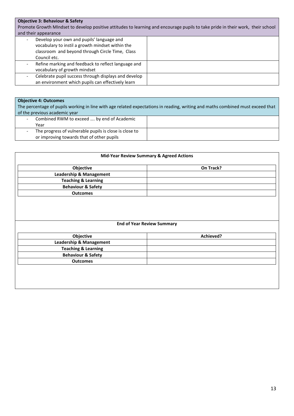#### **Objective 3: Behaviour & Safety**

Promote Growth MIndset to develop positive attitudes to learning and encourage pupils to take pride in their work, their school and their appearance

| Develop your own and pupils' language and<br>vocabulary to instil a growth mindset within the<br>classroom and beyond through Circle Time, Class<br>Council etc. |  |
|------------------------------------------------------------------------------------------------------------------------------------------------------------------|--|
| Refine marking and feedback to reflect language and<br>-<br>vocabulary of growth mindset                                                                         |  |
| Celebrate pupil success through displays and develop<br>-<br>an environment which pupils can effectively learn                                                   |  |

#### **Objective 4: Outcomes**

The percentage of pupils working in line with age related expectations in reading, writing and maths combined must exceed that of the previous academic year

| Combined RWM to exceed  by end of Academic<br>$\overline{\phantom{a}}$<br>Year                      |  |
|-----------------------------------------------------------------------------------------------------|--|
| The progress of vulnerable pupils is close is close to<br>or improving towards that of other pupils |  |

| Objective                                                       | On Track? |
|-----------------------------------------------------------------|-----------|
| <b>Leadership &amp; Management</b>                              |           |
| <b>Teaching &amp; Learning</b>                                  |           |
| <b>Behaviour &amp; Safety</b>                                   |           |
| <b>Outcomes</b>                                                 |           |
| <b>End of Year Review Summary</b>                               |           |
|                                                                 |           |
| Objective                                                       | Achieved? |
| <b>Leadership &amp; Management</b>                              |           |
| <b>Teaching &amp; Learning</b><br><b>Behaviour &amp; Safety</b> |           |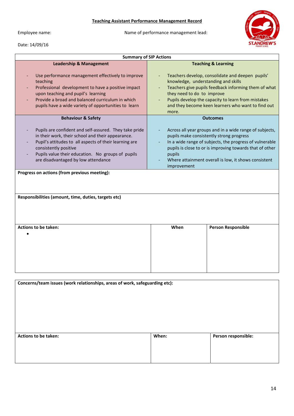#### **Teaching Assistant Performance Management Record**

Date: 14/09/16

Employee name: Name of performance management lead:



| <b>Summary of SIP Actions</b>                                                                                                                                                                                                                                                                                                                                               |                                                                                                                                                                                                                                                                                                                                      |  |  |  |
|-----------------------------------------------------------------------------------------------------------------------------------------------------------------------------------------------------------------------------------------------------------------------------------------------------------------------------------------------------------------------------|--------------------------------------------------------------------------------------------------------------------------------------------------------------------------------------------------------------------------------------------------------------------------------------------------------------------------------------|--|--|--|
| <b>Leadership &amp; Management</b><br>Use performance management effectively to improve<br>teaching<br>Professional development to have a positive impact<br>upon teaching and pupil's learning<br>Provide a broad and balanced curriculum in which<br>pupils have a wide variety of opportunities to learn                                                                 | <b>Teaching &amp; Learning</b><br>Teachers develop, consolidate and deepen pupils'<br>knowledge, understanding and skills<br>Teachers give pupils feedback informing them of what<br>they need to do to improve<br>Pupils develop the capacity to learn from mistakes<br>and they become keen learners who want to find out<br>more. |  |  |  |
| <b>Behaviour &amp; Safety</b><br>Pupils are confident and self-assured. They take pride<br>in their work, their school and their appearance.<br>Pupil's attitudes to all aspects of their learning are<br>consistently positive<br>Pupils value their education. No groups of pupils<br>are disadvantaged by low attendance<br>Progress on actions (from previous meeting): | <b>Outcomes</b><br>Across all year groups and in a wide range of subjects,<br>pupils make consistently strong progress<br>In a wide range of subjects, the progress of vulnerable<br>pupils is close to or is improving towards that of other<br>pupils<br>Where attainment overall is low, it shows consistent<br>improvement       |  |  |  |
| Responsibilities (amount, time, duties, targets etc)<br>Actions to be taken:                                                                                                                                                                                                                                                                                                | <b>Person Responsible</b><br>When                                                                                                                                                                                                                                                                                                    |  |  |  |
|                                                                                                                                                                                                                                                                                                                                                                             |                                                                                                                                                                                                                                                                                                                                      |  |  |  |

| Concerns/team issues (work relationships, areas of work, safeguarding etc): |       |                     |
|-----------------------------------------------------------------------------|-------|---------------------|
| <b>Actions to be taken:</b>                                                 | When: | Person responsible: |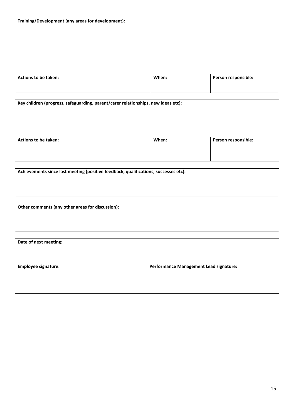| Training/Development (any areas for development): |  |  |
|---------------------------------------------------|--|--|
|---------------------------------------------------|--|--|

| <b>Actions to be taken:</b> | When: | Person responsible: |
|-----------------------------|-------|---------------------|
|                             |       |                     |
|                             |       |                     |

| Key children (progress, safeguarding, parent/carer relationships, new ideas etc): |       |                     |  |
|-----------------------------------------------------------------------------------|-------|---------------------|--|
| Actions to be taken:                                                              | When: | Person responsible: |  |

**Achievements since last meeting (positive feedback, qualifications, successes etc):**

**Other comments (any other areas for discussion):**

| Date of next meeting:      |                                               |
|----------------------------|-----------------------------------------------|
| <b>Employee signature:</b> | <b>Performance Management Lead signature:</b> |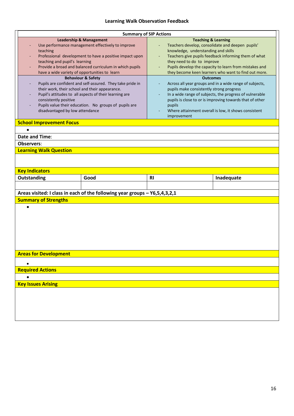#### **Learning Walk Observation Feedback**

|                                                                                                                                                                                                                                                                                                                                                                                                                                                                                                                                                                                                                                            | <b>Summary of SIP Actions</b>   |                                                                            |                                                                                                                                                                                                                                                 |                                                                                                                                                                                                                                                                                                                                                                                                                  |            |
|--------------------------------------------------------------------------------------------------------------------------------------------------------------------------------------------------------------------------------------------------------------------------------------------------------------------------------------------------------------------------------------------------------------------------------------------------------------------------------------------------------------------------------------------------------------------------------------------------------------------------------------------|---------------------------------|----------------------------------------------------------------------------|-------------------------------------------------------------------------------------------------------------------------------------------------------------------------------------------------------------------------------------------------|------------------------------------------------------------------------------------------------------------------------------------------------------------------------------------------------------------------------------------------------------------------------------------------------------------------------------------------------------------------------------------------------------------------|------------|
| <b>Leadership &amp; Management</b><br>Use performance management effectively to improve<br>teaching<br>Professional development to have a positive impact upon<br>teaching and pupil's learning<br>Provide a broad and balanced curriculum in which pupils<br>have a wide variety of opportunities to learn<br><b>Behaviour &amp; Safety</b><br>Pupils are confident and self-assured. They take pride in<br>their work, their school and their appearance.<br>Pupil's attitudes to all aspects of their learning are<br>consistently positive<br>Pupils value their education. No groups of pupils are<br>disadvantaged by low attendance |                                 |                                                                            | <b>Teaching &amp; Learning</b><br>Teachers develop, consolidate and deepen pupils'<br>knowledge, understanding and skills<br>they need to do to improve<br><b>Outcomes</b><br>pupils make consistently strong progress<br>pupils<br>improvement | Teachers give pupils feedback informing them of what<br>Pupils develop the capacity to learn from mistakes and<br>they become keen learners who want to find out more.<br>Across all year groups and in a wide range of subjects,<br>In a wide range of subjects, the progress of vulnerable<br>pupils is close to or is improving towards that of other<br>Where attainment overall is low, it shows consistent |            |
|                                                                                                                                                                                                                                                                                                                                                                                                                                                                                                                                                                                                                                            | <b>School Improvement Focus</b> |                                                                            |                                                                                                                                                                                                                                                 |                                                                                                                                                                                                                                                                                                                                                                                                                  |            |
|                                                                                                                                                                                                                                                                                                                                                                                                                                                                                                                                                                                                                                            | $\bullet$                       |                                                                            |                                                                                                                                                                                                                                                 |                                                                                                                                                                                                                                                                                                                                                                                                                  |            |
|                                                                                                                                                                                                                                                                                                                                                                                                                                                                                                                                                                                                                                            | Date and Time:                  |                                                                            |                                                                                                                                                                                                                                                 |                                                                                                                                                                                                                                                                                                                                                                                                                  |            |
|                                                                                                                                                                                                                                                                                                                                                                                                                                                                                                                                                                                                                                            | <b>Observers:</b>               |                                                                            |                                                                                                                                                                                                                                                 |                                                                                                                                                                                                                                                                                                                                                                                                                  |            |
|                                                                                                                                                                                                                                                                                                                                                                                                                                                                                                                                                                                                                                            | <b>Learning Walk Question</b>   |                                                                            |                                                                                                                                                                                                                                                 |                                                                                                                                                                                                                                                                                                                                                                                                                  |            |
|                                                                                                                                                                                                                                                                                                                                                                                                                                                                                                                                                                                                                                            | <b>Key Indicators</b>           |                                                                            |                                                                                                                                                                                                                                                 |                                                                                                                                                                                                                                                                                                                                                                                                                  |            |
|                                                                                                                                                                                                                                                                                                                                                                                                                                                                                                                                                                                                                                            | Outstanding                     | Good                                                                       | <b>RI</b>                                                                                                                                                                                                                                       |                                                                                                                                                                                                                                                                                                                                                                                                                  | Inadequate |
|                                                                                                                                                                                                                                                                                                                                                                                                                                                                                                                                                                                                                                            |                                 |                                                                            |                                                                                                                                                                                                                                                 |                                                                                                                                                                                                                                                                                                                                                                                                                  |            |
|                                                                                                                                                                                                                                                                                                                                                                                                                                                                                                                                                                                                                                            |                                 | Areas visited: I class in each of the following year groups - Y6,5,4,3,2,1 |                                                                                                                                                                                                                                                 |                                                                                                                                                                                                                                                                                                                                                                                                                  |            |
|                                                                                                                                                                                                                                                                                                                                                                                                                                                                                                                                                                                                                                            | <b>Summary of Strengths</b>     |                                                                            |                                                                                                                                                                                                                                                 |                                                                                                                                                                                                                                                                                                                                                                                                                  |            |
|                                                                                                                                                                                                                                                                                                                                                                                                                                                                                                                                                                                                                                            | $\bullet$                       |                                                                            |                                                                                                                                                                                                                                                 |                                                                                                                                                                                                                                                                                                                                                                                                                  |            |
|                                                                                                                                                                                                                                                                                                                                                                                                                                                                                                                                                                                                                                            | <b>Areas for Development</b>    |                                                                            |                                                                                                                                                                                                                                                 |                                                                                                                                                                                                                                                                                                                                                                                                                  |            |
|                                                                                                                                                                                                                                                                                                                                                                                                                                                                                                                                                                                                                                            |                                 |                                                                            |                                                                                                                                                                                                                                                 |                                                                                                                                                                                                                                                                                                                                                                                                                  |            |
|                                                                                                                                                                                                                                                                                                                                                                                                                                                                                                                                                                                                                                            | <b>Required Actions</b>         |                                                                            |                                                                                                                                                                                                                                                 |                                                                                                                                                                                                                                                                                                                                                                                                                  |            |
|                                                                                                                                                                                                                                                                                                                                                                                                                                                                                                                                                                                                                                            | ٠                               |                                                                            |                                                                                                                                                                                                                                                 |                                                                                                                                                                                                                                                                                                                                                                                                                  |            |
|                                                                                                                                                                                                                                                                                                                                                                                                                                                                                                                                                                                                                                            | <b>Key Issues Arising</b>       |                                                                            |                                                                                                                                                                                                                                                 |                                                                                                                                                                                                                                                                                                                                                                                                                  |            |
|                                                                                                                                                                                                                                                                                                                                                                                                                                                                                                                                                                                                                                            |                                 |                                                                            |                                                                                                                                                                                                                                                 |                                                                                                                                                                                                                                                                                                                                                                                                                  |            |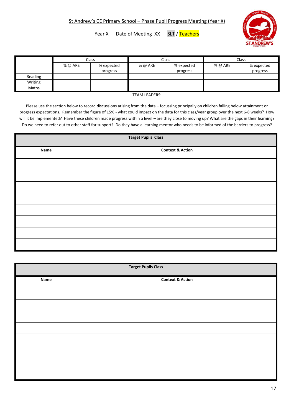Year X Date of Meeting XX SLT / Teachers



|         | Class   |            | Class   |            | Class   |            |
|---------|---------|------------|---------|------------|---------|------------|
|         | % @ ARE | % expected | % @ ARE | % expected | % @ ARE | % expected |
|         |         | progress   |         | progress   |         | progress   |
| Reading |         |            |         |            |         |            |
| Writing |         |            |         |            |         |            |
| Maths   |         |            |         |            |         |            |

TEAM LEADERS:

Please use the section below to record discussions arising from the data – focussing principally on children falling below attainment or progress expectations. Remember the figure of 15% - what could impact on the data for this class/year group over the next 6-8 weeks? How will it be implemented? Have these children made progress within a level – are they close to moving up? What are the gaps in their learning? Do we need to refer out to other staff for support? Do they have a learning mentor who needs to be informed of the barriers to progress?

| <b>Target Pupils Class</b> |                             |  |
|----------------------------|-----------------------------|--|
| Name                       | <b>Context &amp; Action</b> |  |
|                            |                             |  |
|                            |                             |  |
|                            |                             |  |
|                            |                             |  |
|                            |                             |  |
|                            |                             |  |
|                            |                             |  |
|                            |                             |  |

| <b>Target Pupils Class</b> |                             |  |
|----------------------------|-----------------------------|--|
| Name                       | <b>Context &amp; Action</b> |  |
|                            |                             |  |
|                            |                             |  |
|                            |                             |  |
|                            |                             |  |
|                            |                             |  |
|                            |                             |  |
|                            |                             |  |
|                            |                             |  |